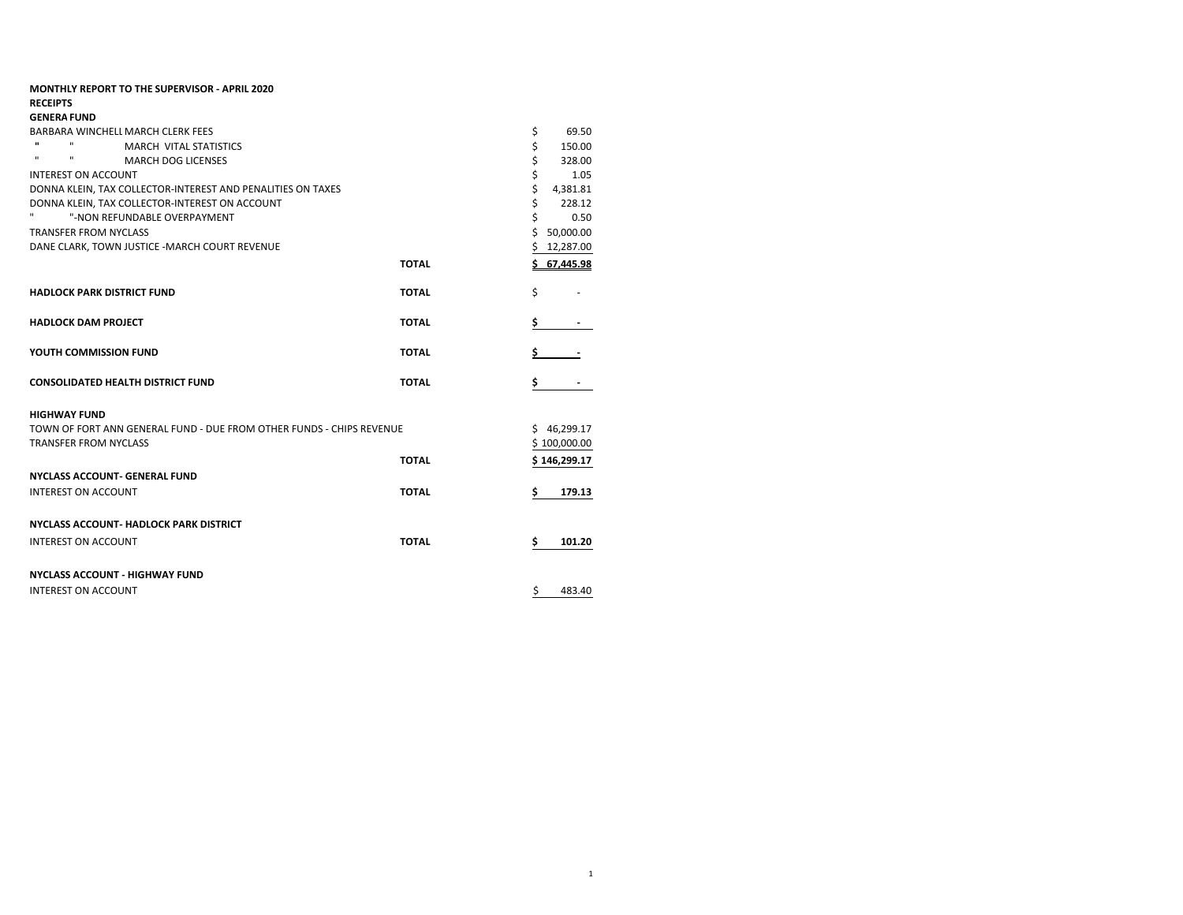| 69.50<br>150.00<br>328.00<br>1.05<br>4,381.81<br>228.12<br>0.50 |
|-----------------------------------------------------------------|
|                                                                 |
|                                                                 |
|                                                                 |
|                                                                 |
|                                                                 |
|                                                                 |
|                                                                 |
|                                                                 |
|                                                                 |
| 50,000.00                                                       |
| 12,287.00                                                       |
| \$67.445.98                                                     |
|                                                                 |
|                                                                 |
|                                                                 |
|                                                                 |
|                                                                 |
| \$46,299.17                                                     |
| \$100,000.00                                                    |
| \$146,299.17                                                    |
|                                                                 |
| 179.13                                                          |
|                                                                 |
| 101.20                                                          |
|                                                                 |
|                                                                 |
|                                                                 |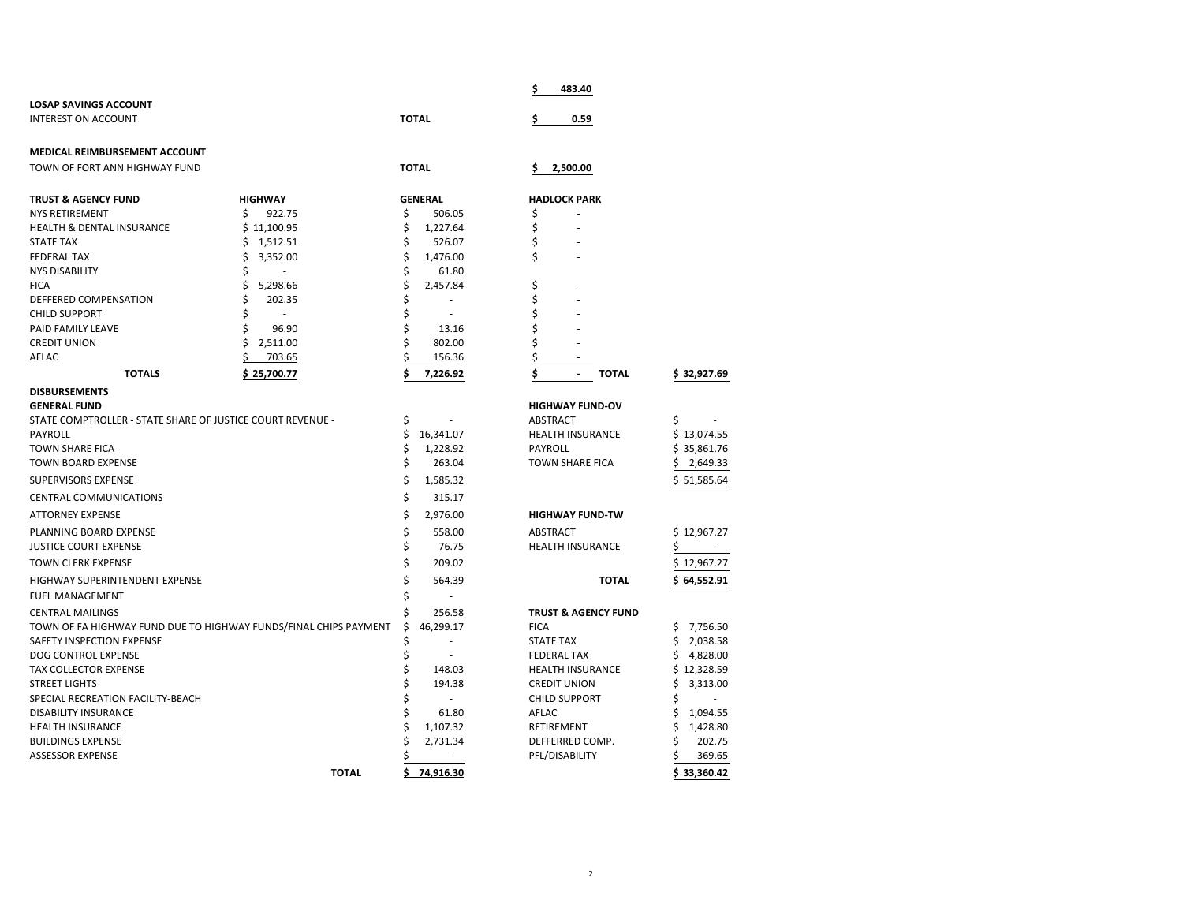|                                                            |                                                                  |          |                    | \$                 | 483.40                                   |                         |
|------------------------------------------------------------|------------------------------------------------------------------|----------|--------------------|--------------------|------------------------------------------|-------------------------|
| <b>LOSAP SAVINGS ACCOUNT</b>                               |                                                                  |          |                    |                    |                                          |                         |
| <b>INTEREST ON ACCOUNT</b>                                 |                                                                  |          | <b>TOTAL</b>       | \$                 | 0.59                                     |                         |
| MEDICAL REIMBURSEMENT ACCOUNT                              |                                                                  |          |                    |                    |                                          |                         |
| TOWN OF FORT ANN HIGHWAY FUND                              |                                                                  |          | <b>TOTAL</b>       | \$                 | 2,500.00                                 |                         |
| <b>TRUST &amp; AGENCY FUND</b>                             | <b>HIGHWAY</b>                                                   |          | <b>GENERAL</b>     |                    | <b>HADLOCK PARK</b>                      |                         |
| <b>NYS RETIREMENT</b>                                      | \$<br>922.75                                                     | \$       | 506.05             | \$                 |                                          |                         |
| <b>HEALTH &amp; DENTAL INSURANCE</b>                       | \$11,100.95                                                      | \$       | 1,227.64           | \$                 |                                          |                         |
| <b>STATE TAX</b>                                           | 1,512.51<br>\$                                                   | \$       | 526.07             | \$                 |                                          |                         |
| <b>FEDERAL TAX</b>                                         | Ś<br>3,352.00                                                    |          | 1,476.00           | \$                 |                                          |                         |
| <b>NYS DISABILITY</b>                                      |                                                                  | \$       | 61.80              |                    |                                          |                         |
| <b>FICA</b>                                                | \$<br>5,298.66                                                   |          | 2,457.84           | \$                 |                                          |                         |
| DEFFERED COMPENSATION                                      | \$<br>202.35                                                     |          |                    | \$                 |                                          |                         |
| <b>CHILD SUPPORT</b>                                       | \$<br>ä,                                                         | \$       |                    | \$                 |                                          |                         |
| PAID FAMILY LEAVE                                          | Ś<br>96.90                                                       | \$       | 13.16              | \$                 |                                          |                         |
| <b>CREDIT UNION</b>                                        | \$<br>2,511.00                                                   |          | 802.00             | \$                 |                                          |                         |
| <b>AFLAC</b>                                               | \$<br>703.65                                                     |          | 156.36             | \$                 |                                          |                         |
| <b>TOTALS</b>                                              | \$25,700.77                                                      |          | 7,226.92           | \$                 | <b>TOTAL</b><br>$\overline{\phantom{a}}$ | \$32,927.69             |
| <b>DISBURSEMENTS</b>                                       |                                                                  |          |                    |                    |                                          |                         |
| <b>GENERAL FUND</b>                                        |                                                                  |          |                    |                    | <b>HIGHWAY FUND-OV</b>                   |                         |
| STATE COMPTROLLER - STATE SHARE OF JUSTICE COURT REVENUE - |                                                                  |          |                    | ABSTRACT           |                                          |                         |
| PAYROLL                                                    |                                                                  | \$       | 16,341.07          |                    | <b>HEALTH INSURANCE</b>                  | \$13,074.55             |
| <b>TOWN SHARE FICA</b><br><b>TOWN BOARD EXPENSE</b>        |                                                                  | \$<br>\$ | 1,228.92<br>263.04 | PAYROLL            | <b>TOWN SHARE FICA</b>                   | \$35,861.76<br>2,649.33 |
| SUPERVISORS EXPENSE                                        |                                                                  | \$       | 1,585.32           |                    |                                          |                         |
|                                                            |                                                                  | Ś        | 315.17             |                    |                                          | \$51,585.64             |
| <b>CENTRAL COMMUNICATIONS</b>                              |                                                                  |          |                    |                    |                                          |                         |
| <b>ATTORNEY EXPENSE</b>                                    |                                                                  | \$       | 2,976.00           |                    | <b>HIGHWAY FUND-TW</b>                   |                         |
| PLANNING BOARD EXPENSE                                     |                                                                  | \$       | 558.00             | ABSTRACT           |                                          | \$12,967.27             |
| <b>JUSTICE COURT EXPENSE</b>                               |                                                                  | \$       | 76.75              |                    | <b>HEALTH INSURANCE</b>                  |                         |
| <b>TOWN CLERK EXPENSE</b>                                  |                                                                  |          | 209.02             |                    |                                          | \$12,967.27             |
| HIGHWAY SUPERINTENDENT EXPENSE                             |                                                                  |          | 564.39             |                    | <b>TOTAL</b>                             | \$64,552.91             |
| <b>FUEL MANAGEMENT</b>                                     |                                                                  |          |                    |                    |                                          |                         |
| <b>CENTRAL MAILINGS</b>                                    |                                                                  |          | 256.58             |                    | <b>TRUST &amp; AGENCY FUND</b>           |                         |
|                                                            | TOWN OF FA HIGHWAY FUND DUE TO HIGHWAY FUNDS/FINAL CHIPS PAYMENT |          | 46,299.17          | <b>FICA</b>        |                                          | 7,756.50<br>s           |
| SAFETY INSPECTION EXPENSE                                  |                                                                  |          | ÷,                 | <b>STATE TAX</b>   |                                          | 2,038.58<br>s           |
| DOG CONTROL EXPENSE                                        |                                                                  |          | ٠                  | <b>FEDERAL TAX</b> |                                          | 4,828.00<br>s           |
| <b>TAX COLLECTOR EXPENSE</b>                               |                                                                  |          | 148.03             |                    | <b>HEALTH INSURANCE</b>                  | \$12,328.59             |
| <b>STREET LIGHTS</b>                                       |                                                                  |          | 194.38             |                    | <b>CREDIT UNION</b>                      | 3,313.00<br>S           |
| SPECIAL RECREATION FACILITY-BEACH                          |                                                                  |          | $\sim$             |                    | <b>CHILD SUPPORT</b>                     |                         |
| <b>DISABILITY INSURANCE</b>                                |                                                                  |          | 61.80              | AFLAC              |                                          | 1,094.55                |
| <b>HEALTH INSURANCE</b>                                    |                                                                  |          | 1,107.32           | RETIREMENT         |                                          | 1,428.80                |
| <b>BUILDINGS EXPENSE</b><br><b>ASSESSOR EXPENSE</b>        |                                                                  |          | 2,731.34           |                    | DEFFERRED COMP.<br>PFL/DISABILITY        | 202.75<br>369.65        |
|                                                            |                                                                  |          |                    |                    |                                          |                         |
|                                                            | <b>TOTAL</b>                                                     |          | 74,916.30          |                    |                                          | \$33.360.42             |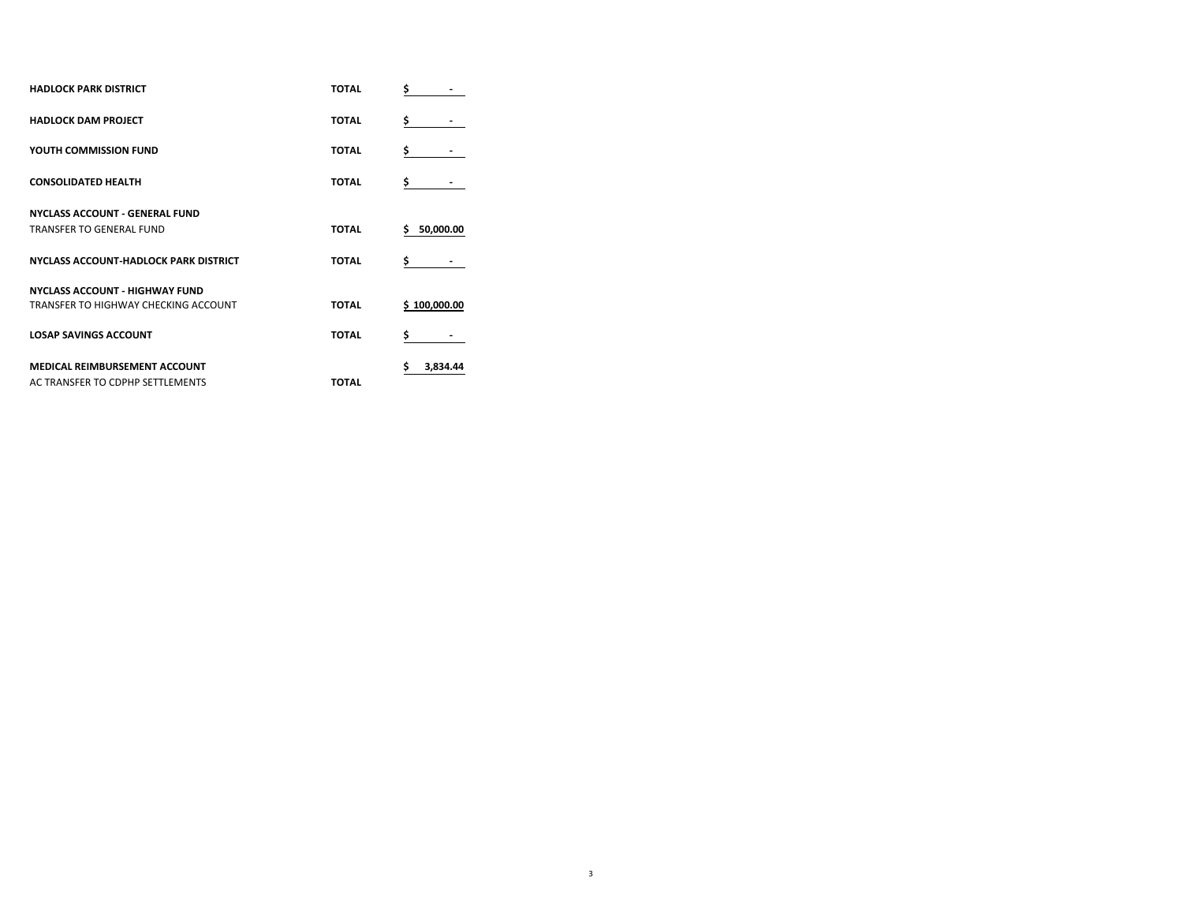| <b>HADLOCK PARK DISTRICT</b>                 | <b>TOTAL</b> | \$                  |
|----------------------------------------------|--------------|---------------------|
| <b>HADLOCK DAM PROJECT</b>                   | <b>TOTAL</b> | \$                  |
| YOUTH COMMISSION FUND                        | <b>TOTAL</b> | \$                  |
| <b>CONSOLIDATED HEALTH</b>                   | <b>TOTAL</b> | \$                  |
| <b>NYCLASS ACCOUNT - GENERAL FUND</b>        |              |                     |
| <b>TRANSFER TO GENERAL FUND</b>              | <b>TOTAL</b> | \$.<br>50,000.00    |
| <b>NYCLASS ACCOUNT-HADLOCK PARK DISTRICT</b> | <b>TOTAL</b> | \$                  |
| <b>NYCLASS ACCOUNT - HIGHWAY FUND</b>        |              |                     |
| TRANSFER TO HIGHWAY CHECKING ACCOUNT         | <b>TOTAL</b> | <u>\$100.000.00</u> |
| <b>LOSAP SAVINGS ACCOUNT</b>                 | <b>TOTAL</b> | \$                  |
| <b>MEDICAL REIMBURSEMENT ACCOUNT</b>         |              | \$<br>3,834.44      |
| AC TRANSFER TO CDPHP SETTLEMENTS             | <b>TOTAL</b> |                     |